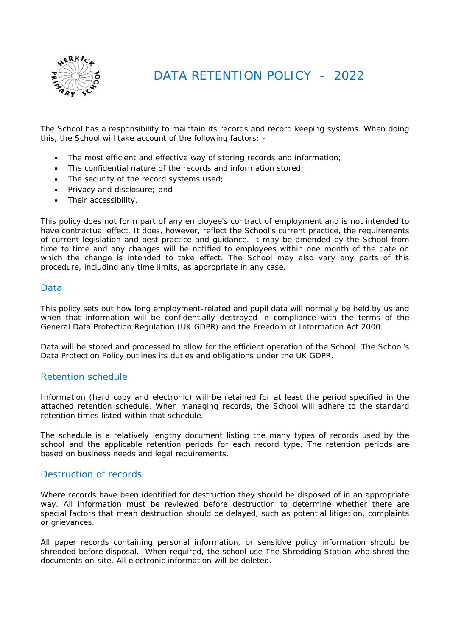

DATA RETENTION POLICY - 2022

The School has a responsibility to maintain its records and record keeping systems. When doing this, the School will take account of the following factors: -

- The most efficient and effective way of storing records and information;
- The confidential nature of the records and information stored:
- The security of the record systems used;
- Privacy and disclosure; and
- Their accessibility.

This policy does not form part of any employee's contract of employment and is not intended to have contractual effect. It does, however, reflect the School's current practice, the requirements of current legislation and best practice and guidance. It may be amended by the School from time to time and any changes will be notified to employees within one month of the date on which the change is intended to take effect. The School may also vary any parts of this procedure, including any time limits, as appropriate in any case.

#### **Data**

This policy sets out how long employment-related and pupil data will normally be held by us and when that information will be confidentially destroyed in compliance with the terms of the General Data Protection Regulation (UK GDPR) and the Freedom of Information Act 2000.

Data will be stored and processed to allow for the efficient operation of the School. The School's Data Protection Policy outlines its duties and obligations under the UK GDPR.

## Retention schedule

Information (hard copy and electronic) will be retained for at least the period specified in the attached retention schedule. When managing records, the School will adhere to the standard retention times listed within that schedule.

The schedule is a relatively lengthy document listing the many types of records used by the school and the applicable retention periods for each record type. The retention periods are based on business needs and legal requirements.

#### Destruction of records

Where records have been identified for destruction they should be disposed of in an appropriate way. All information must be reviewed before destruction to determine whether there are special factors that mean destruction should be delayed, such as potential litigation, complaints or grievances.

All paper records containing personal information, or sensitive policy information should be shredded before disposal. When required, the school use The Shredding Station who shred the documents on-site. All electronic information will be deleted.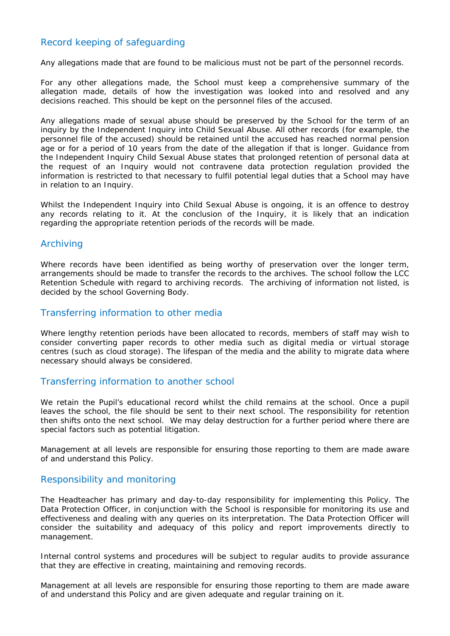# Record keeping of safeguarding

Any allegations made that are found to be malicious must not be part of the personnel records.

For any other allegations made, the School must keep a comprehensive summary of the allegation made, details of how the investigation was looked into and resolved and any decisions reached. This should be kept on the personnel files of the accused.

Any allegations made of sexual abuse should be preserved by the School for the term of an inquiry by the Independent Inquiry into Child Sexual Abuse. All other records (for example, the personnel file of the accused) should be retained until the accused has reached normal pension age or for a period of 10 years from the date of the allegation if that is longer. Guidance from the Independent Inquiry Child Sexual Abuse states that prolonged retention of personal data at the request of an Inquiry would not contravene data protection regulation provided the information is restricted to that necessary to fulfil potential legal duties that a School may have in relation to an Inquiry.

Whilst the Independent Inquiry into Child Sexual Abuse is ongoing, it is an offence to destroy any records relating to it. At the conclusion of the Inquiry, it is likely that an indication regarding the appropriate retention periods of the records will be made.

#### Archiving

Where records have been identified as being worthy of preservation over the longer term, arrangements should be made to transfer the records to the archives. The school follow the LCC Retention Schedule with regard to archiving records. The archiving of information not listed, is decided by the school Governing Body.

#### Transferring information to other media

Where lengthy retention periods have been allocated to records, members of staff may wish to consider converting paper records to other media such as digital media or virtual storage centres (such as cloud storage). The lifespan of the media and the ability to migrate data where necessary should always be considered.

#### Transferring information to another school

We retain the Pupil's educational record whilst the child remains at the school. Once a pupil leaves the school, the file should be sent to their next school. The responsibility for retention then shifts onto the next school. We may delay destruction for a further period where there are special factors such as potential litigation.

Management at all levels are responsible for ensuring those reporting to them are made aware of and understand this Policy.

## Responsibility and monitoring

The Headteacher has primary and day-to-day responsibility for implementing this Policy. The Data Protection Officer, in conjunction with the School is responsible for monitoring its use and effectiveness and dealing with any queries on its interpretation. The Data Protection Officer will consider the suitability and adequacy of this policy and report improvements directly to management.

Internal control systems and procedures will be subject to regular audits to provide assurance that they are effective in creating, maintaining and removing records.

Management at all levels are responsible for ensuring those reporting to them are made aware of and understand this Policy and are given adequate and regular training on it.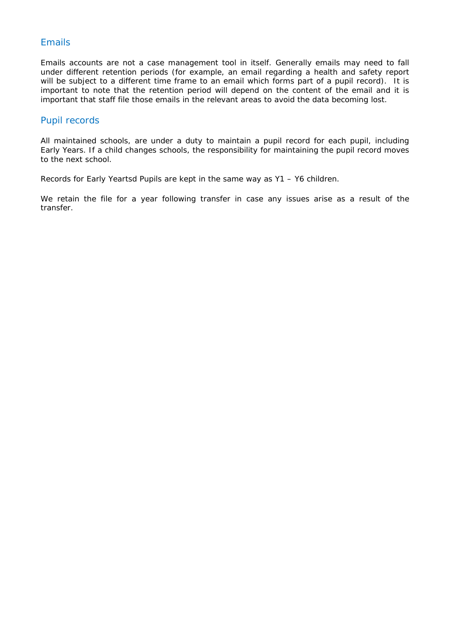# Emails

Emails accounts are not a case management tool in itself. Generally emails may need to fall under different retention periods (for example, an email regarding a health and safety report will be subject to a different time frame to an email which forms part of a pupil record). It is important to note that the retention period will depend on the content of the email and it is important that staff file those emails in the relevant areas to avoid the data becoming lost.

#### Pupil records

All maintained schools, are under a duty to maintain a pupil record for each pupil, including Early Years. If a child changes schools, the responsibility for maintaining the pupil record moves to the next school.

Records for Early Yeartsd Pupils are kept in the same way as Y1 – Y6 children.

We retain the file for a year following transfer in case any issues arise as a result of the transfer.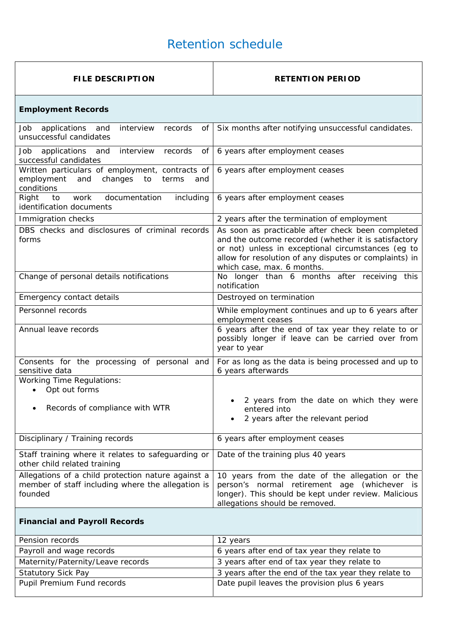# Retention schedule

| <b>FILE DESCRIPTION</b>                                                                                            | <b>RETENTION PERIOD</b>                                                                                                                                                                                                                                 |
|--------------------------------------------------------------------------------------------------------------------|---------------------------------------------------------------------------------------------------------------------------------------------------------------------------------------------------------------------------------------------------------|
| <b>Employment Records</b>                                                                                          |                                                                                                                                                                                                                                                         |
| applications<br>interview<br>Job<br>and<br>records<br>οf<br>unsuccessful candidates                                | Six months after notifying unsuccessful candidates.                                                                                                                                                                                                     |
| interview<br>records<br>Job<br>applications and<br>of<br>successful candidates                                     | 6 years after employment ceases                                                                                                                                                                                                                         |
| Written particulars of employment, contracts of<br>employment<br>changes to<br>and<br>terms<br>and<br>conditions   | 6 years after employment ceases                                                                                                                                                                                                                         |
| Right<br>work<br>documentation<br>including<br>to<br>identification documents                                      | 6 years after employment ceases                                                                                                                                                                                                                         |
| Immigration checks                                                                                                 | 2 years after the termination of employment                                                                                                                                                                                                             |
| DBS checks and disclosures of criminal records<br>forms                                                            | As soon as practicable after check been completed<br>and the outcome recorded (whether it is satisfactory<br>or not) unless in exceptional circumstances (eg to<br>allow for resolution of any disputes or complaints) in<br>which case, max. 6 months. |
| Change of personal details notifications                                                                           | No longer than 6 months after receiving this<br>notification                                                                                                                                                                                            |
| Emergency contact details                                                                                          | Destroyed on termination                                                                                                                                                                                                                                |
| Personnel records                                                                                                  | While employment continues and up to 6 years after<br>employment ceases                                                                                                                                                                                 |
| Annual leave records                                                                                               | 6 years after the end of tax year they relate to or<br>possibly longer if leave can be carried over from<br>year to year                                                                                                                                |
| Consents for the processing of personal and<br>sensitive data                                                      | For as long as the data is being processed and up to<br>6 years afterwards                                                                                                                                                                              |
| <b>Working Time Regulations:</b><br>Opt out forms                                                                  |                                                                                                                                                                                                                                                         |
| Records of compliance with WTR                                                                                     | 2 years from the date on which they were<br>entered into<br>2 years after the relevant period                                                                                                                                                           |
| Disciplinary / Training records                                                                                    | 6 years after employment ceases                                                                                                                                                                                                                         |
| Staff training where it relates to safeguarding or<br>other child related training                                 | Date of the training plus 40 years                                                                                                                                                                                                                      |
| Allegations of a child protection nature against a<br>member of staff including where the allegation is<br>founded | 10 years from the date of the allegation or the<br>person's normal retirement age (whichever is<br>longer). This should be kept under review. Malicious<br>allegations should be removed.                                                               |
| <b>Financial and Payroll Records</b>                                                                               |                                                                                                                                                                                                                                                         |
| Pension records                                                                                                    | 12 years                                                                                                                                                                                                                                                |

| Pension records                   | 12 years                                             |
|-----------------------------------|------------------------------------------------------|
| Payroll and wage records          | 6 years after end of tax year they relate to         |
| Maternity/Paternity/Leave records | 3 years after end of tax year they relate to         |
| <b>Statutory Sick Pay</b>         | 3 years after the end of the tax year they relate to |
| Pupil Premium Fund records        | Date pupil leaves the provision plus 6 years         |
|                                   |                                                      |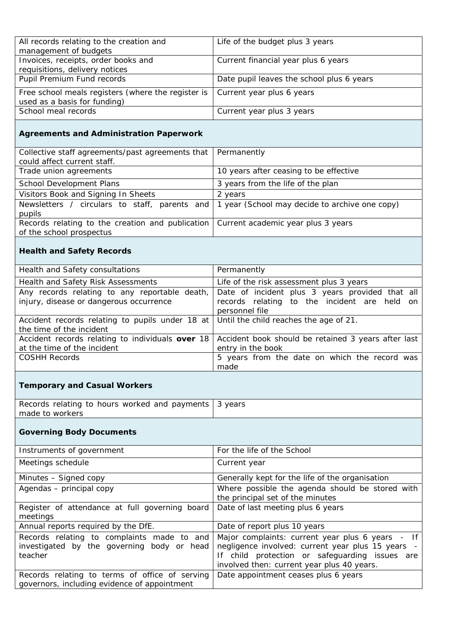| All records relating to the creation and                                       | Life of the budget plus 3 years           |
|--------------------------------------------------------------------------------|-------------------------------------------|
| management of budgets                                                          |                                           |
| Invoices, receipts, order books and                                            | Current financial year plus 6 years       |
| requisitions, delivery notices                                                 |                                           |
| Pupil Premium Fund records                                                     | Date pupil leaves the school plus 6 years |
| Free school meals registers (where the register is   Current year plus 6 years |                                           |
| used as a basis for funding)                                                   |                                           |
| School meal records                                                            | Current year plus 3 years                 |
|                                                                                |                                           |

## **Agreements and Administration Paperwork**

| Collective staff agreements/past agreements that                                                     | Permanently                            |
|------------------------------------------------------------------------------------------------------|----------------------------------------|
| could affect current staff.                                                                          |                                        |
| Trade union agreements                                                                               | 10 years after ceasing to be effective |
| School Development Plans                                                                             | 3 years from the life of the plan      |
| Visitors Book and Signing In Sheets                                                                  | 2 years                                |
| Newsletters / circulars to staff, parents and $\vert$ 1 year (School may decide to archive one copy) |                                        |
| pupils                                                                                               |                                        |
| Records relating to the creation and publication   Current academic year plus 3 years                |                                        |
| of the school prospectus                                                                             |                                        |

## **Health and Safety Records**

| Health and Safety consultations                                                        | Permanently                                         |
|----------------------------------------------------------------------------------------|-----------------------------------------------------|
| Health and Safety Risk Assessments                                                     | Life of the risk assessment plus 3 years            |
| Any records relating to any reportable death,                                          | Date of incident plus 3 years provided that all     |
| injury, disease or dangerous occurrence                                                | records relating to the incident are held on        |
|                                                                                        | personnel file                                      |
| Accident records relating to pupils under 18 at Until the child reaches the age of 21. |                                                     |
| the time of the incident                                                               |                                                     |
| Accident records relating to individuals over 18                                       | Accident book should be retained 3 years after last |
| at the time of the incident                                                            | entry in the book                                   |
| <b>COSHH Records</b>                                                                   | 5 years from the date on which the record was       |
|                                                                                        | made                                                |

# **Temporary and Casual Workers**

| Records relating to hours worked and payments   3 years |  |
|---------------------------------------------------------|--|
| made to workers                                         |  |

# **Governing Body Documents**

| Instruments of government                                                                           | For the life of the School                                                                                                                                                                            |
|-----------------------------------------------------------------------------------------------------|-------------------------------------------------------------------------------------------------------------------------------------------------------------------------------------------------------|
| Meetings schedule                                                                                   | Current year                                                                                                                                                                                          |
| Minutes - Signed copy                                                                               | Generally kept for the life of the organisation                                                                                                                                                       |
| Agendas - principal copy                                                                            | Where possible the agenda should be stored with<br>the principal set of the minutes                                                                                                                   |
| Register of attendance at full governing board<br>meetings                                          | Date of last meeting plus 6 years                                                                                                                                                                     |
| Annual reports required by the DfE.                                                                 | Date of report plus 10 years                                                                                                                                                                          |
| Records relating to complaints made to and<br>investigated by the governing body or head<br>teacher | Major complaints: current year plus 6 years - If<br>negligence involved: current year plus 15 years -<br>If child protection or safeguarding issues are<br>involved then: current year plus 40 years. |
| Records relating to terms of office of serving<br>governors, including evidence of appointment      | Date appointment ceases plus 6 years                                                                                                                                                                  |